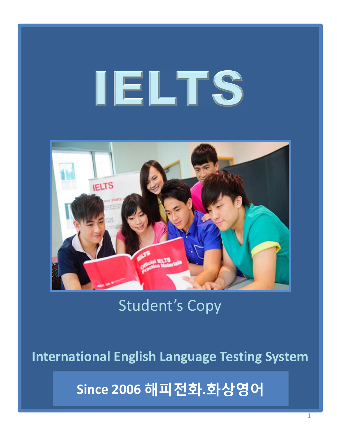# **IELTS**



### Student's Copy

**International English Language Testing System**

**Since 2006 해피전화.화상영어**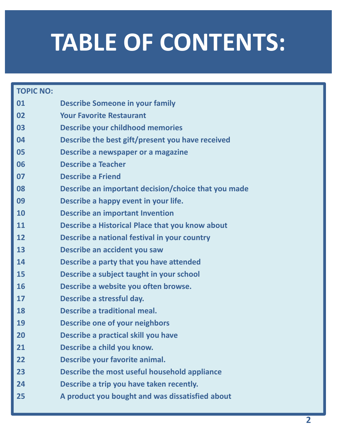# **TABLE OF CONTENTS:**

| <b>TOPIC NO:</b> |                                                     |
|------------------|-----------------------------------------------------|
| 01               | <b>Describe Someone in your family</b>              |
| 02               | <b>Your Favorite Restaurant</b>                     |
| 03               | <b>Describe your childhood memories</b>             |
| 04               | Describe the best gift/present you have received    |
| 05               | Describe a newspaper or a magazine                  |
| 06               | <b>Describe a Teacher</b>                           |
| 07               | <b>Describe a Friend</b>                            |
| 08               | Describe an important decision/choice that you made |
| 09               | Describe a happy event in your life.                |
| 10               | <b>Describe an important Invention</b>              |
| 11               | Describe a Historical Place that you know about     |
| 12               | Describe a national festival in your country        |
| 13               | Describe an accident you saw                        |
| 14               | Describe a party that you have attended             |
| 15               | Describe a subject taught in your school            |
| 16               | Describe a website you often browse.                |
| 17               | Describe a stressful day.                           |
| 18               | Describe a traditional meal.                        |
| 19               | <b>Describe one of your neighbors</b>               |
| 20               | Describe a practical skill you have                 |
| 21               | Describe a child you know.                          |
| 22               | Describe your favorite animal.                      |
| 23               | Describe the most useful household appliance        |
| 24               | Describe a trip you have taken recently.            |
| 25               | A product you bought and was dissatisfied about     |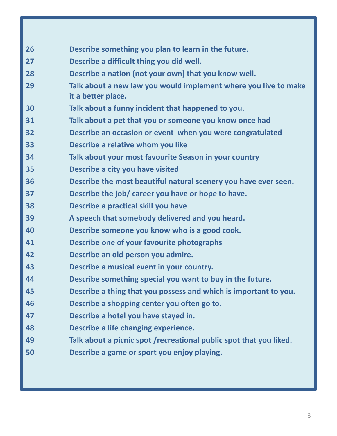| 26 | Describe something you plan to learn in the future.                 |
|----|---------------------------------------------------------------------|
| 27 | Describe a difficult thing you did well.                            |
| 28 | Describe a nation (not your own) that you know well.                |
| 29 | Talk about a new law you would implement where you live to make     |
|    | it a better place.                                                  |
| 30 | Talk about a funny incident that happened to you.                   |
| 31 | Talk about a pet that you or someone you know once had              |
| 32 | Describe an occasion or event when you were congratulated           |
| 33 | Describe a relative whom you like                                   |
| 34 | Talk about your most favourite Season in your country               |
| 35 | Describe a city you have visited                                    |
| 36 | Describe the most beautiful natural scenery you have ever seen.     |
| 37 | Describe the job/ career you have or hope to have.                  |
| 38 | Describe a practical skill you have                                 |
| 39 | A speech that somebody delivered and you heard.                     |
| 40 | Describe someone you know who is a good cook.                       |
| 41 | Describe one of your favourite photographs                          |
| 42 | Describe an old person you admire.                                  |
| 43 | Describe a musical event in your country.                           |
| 44 | Describe something special you want to buy in the future.           |
| 45 | Describe a thing that you possess and which is important to you.    |
| 46 | Describe a shopping center you often go to.                         |
| 47 | Describe a hotel you have stayed in.                                |
| 48 | Describe a life changing experience.                                |
| 49 | Talk about a picnic spot / recreational public spot that you liked. |
| 50 | Describe a game or sport you enjoy playing.                         |
|    |                                                                     |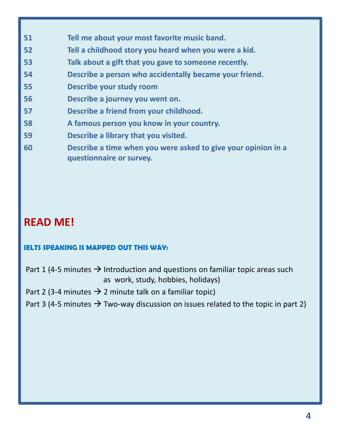- **Tell me about your most favorite music band.**
- **Tell a childhood story you heard when you were a kid.**
- **Talk about a gift that you gave to someone recently.**
- **Describe a person who accidentally became your friend.**
- **Describe your study room**
- **Describe a journey you went on.**
- **Describe a friend from your childhood.**
- **A famous person you know in your country.**
- **Describe a library that you visited.**
- **Describe a time when you were asked to give your opinion in a questionnaire or survey.**

#### **READ ME!**

#### **IELTS SPEAKING IS MAPPED OUT THIS WAY:**

- Part 1 (4-5 minutes  $\rightarrow$  Introduction and questions on familiar topic areas such as work, study, hobbies, holidays)
- Part 2 (3-4 minutes  $\rightarrow$  2 minute talk on a familiar topic)
- Part 3 (4-5 minutes  $\rightarrow$  Two-way discussion on issues related to the topic in part 2)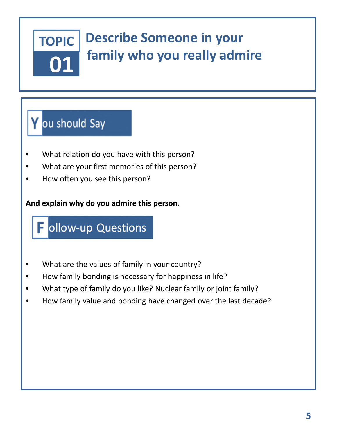#### **Describe Someone in your TOPIC family who you really admire**

### Y ou should Say

**01**

- What relation do you have with this person?
- What are your first memories of this person?
- How often you see this person?

#### **And explain why do you admire this person.**

### Follow-up Questions

- What are the values of family in your country?
- How family bonding is necessary for happiness in life?
- What type of family do you like? Nuclear family or joint family?
- How family value and bonding have changed over the last decade?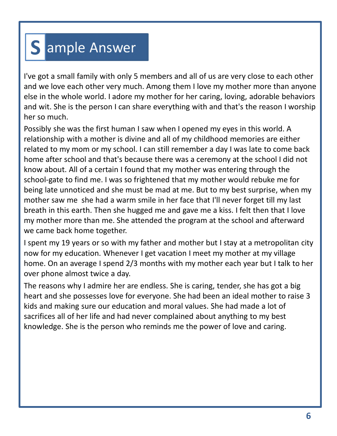### Sample Answer

I've got a small family with only 5 members and all of us are very close to each other and we love each other very much. Among them I love my mother more than anyone else in the whole world. I adore my mother for her caring, loving, adorable behaviors and wit. She is the person I can share everything with and that's the reason I worship her so much.

Possibly she was the first human I saw when I opened my eyes in this world. A relationship with a mother is divine and all of my childhood memories are either related to my mom or my school. I can still remember a day I was late to come back home after school and that's because there was a ceremony at the school I did not know about. All of a certain I found that my mother was entering through the school-gate to find me. I was so frightened that my mother would rebuke me for being late unnoticed and she must be mad at me. But to my best surprise, when my mother saw me she had a warm smile in her face that I'll never forget till my last breath in this earth. Then she hugged me and gave me a kiss. I felt then that I love my mother more than me. She attended the program at the school and afterward we came back home together.

I spent my 19 years or so with my father and mother but I stay at a metropolitan city now for my education. Whenever I get vacation I meet my mother at my village home. On an average I spend 2/3 months with my mother each year but I talk to her over phone almost twice a day.

The reasons why I admire her are endless. She is caring, tender, she has got a big heart and she possesses love for everyone. She had been an ideal mother to raise 3 kids and making sure our education and moral values. She had made a lot of sacrifices all of her life and had never complained about anything to my best knowledge. She is the person who reminds me the power of love and caring.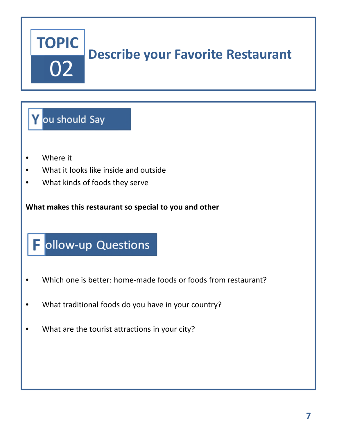## **TOPIC** 02

### **Describe your Favorite Restaurant**

#### Y ou should Say

- Where it
- What it looks like inside and outside
- What kinds of foods they serve

**What makes this restaurant so special to you and other**

### Dellow-up Questions

- Which one is better: home-made foods or foods from restaurant?
- What traditional foods do you have in your country?
- What are the tourist attractions in your city?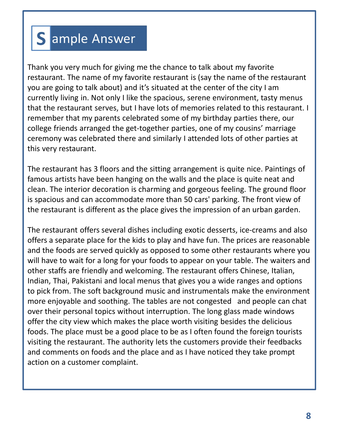### S ample Answer

Thank you very much for giving me the chance to talk about my favorite restaurant. The name of my favorite restaurant is (say the name of the restaurant you are going to talk about) and it's situated at the center of the city I am currently living in. Not only I like the spacious, serene environment, tasty menus that the restaurant serves, but I have lots of memories related to this restaurant. I remember that my parents celebrated some of my birthday parties there, our college friends arranged the get-together parties, one of my cousins' marriage ceremony was celebrated there and similarly I attended lots of other parties at this very restaurant.

The restaurant has 3 floors and the sitting arrangement is quite nice. Paintings of famous artists have been hanging on the walls and the place is quite neat and clean. The interior decoration is charming and gorgeous feeling. The ground floor is spacious and can accommodate more than 50 cars' parking. The front view of the restaurant is different as the place gives the impression of an urban garden.

The restaurant offers several dishes including exotic desserts, ice-creams and also offers a separate place for the kids to play and have fun. The prices are reasonable and the foods are served quickly as opposed to some other restaurants where you will have to wait for a long for your foods to appear on your table. The waiters and other staffs are friendly and welcoming. The restaurant offers Chinese, Italian, Indian, Thai, Pakistani and local menus that gives you a wide ranges and options to pick from. The soft background music and instrumentals make the environment more enjoyable and soothing. The tables are not congested and people can chat over their personal topics without interruption. The long glass made windows offer the city view which makes the place worth visiting besides the delicious foods. The place must be a good place to be as I often found the foreign tourists visiting the restaurant. The authority lets the customers provide their feedbacks and comments on foods and the place and as I have noticed they take prompt action on a customer complaint.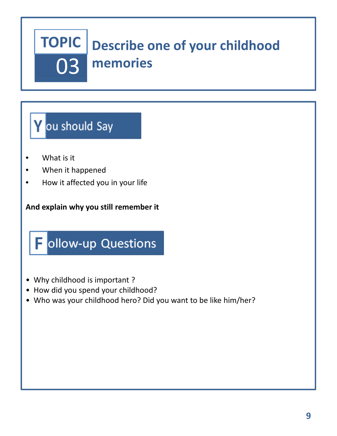#### **TOPIC Describe one of your childhood memories** 03

### Y ou should Say

- What is it
- When it happened
- How it affected you in your life

#### **And explain why you still remember it**



- Why childhood is important ?
- How did you spend your childhood?
- Who was your childhood hero? Did you want to be like him/her?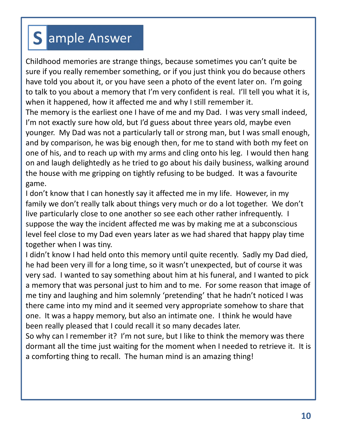### S ample Answer

Childhood memories are strange things, because sometimes you can't quite be sure if you really remember something, or if you just think you do because others have told you about it, or you have seen a photo of the event later on. I'm going to talk to you about a memory that I'm very confident is real. I'll tell you what it is, when it happened, how it affected me and why I still remember it. The memory is the earliest one I have of me and my Dad. I was very small indeed, I'm not exactly sure how old, but I'd guess about three years old, maybe even younger. My Dad was not a particularly tall or strong man, but I was small enough, and by comparison, he was big enough then, for me to stand with both my feet on one of his, and to reach up with my arms and cling onto his leg. I would then hang on and laugh delightedly as he tried to go about his daily business, walking around the house with me gripping on tightly refusing to be budged. It was a favourite game.

I don't know that I can honestly say it affected me in my life. However, in my family we don't really talk about things very much or do a lot together. We don't live particularly close to one another so see each other rather infrequently. I suppose the way the incident affected me was by making me at a subconscious level feel close to my Dad even years later as we had shared that happy play time together when I was tiny.

I didn't know I had held onto this memory until quite recently. Sadly my Dad died, he had been very ill for a long time, so it wasn't unexpected, but of course it was very sad. I wanted to say something about him at his funeral, and I wanted to pick a memory that was personal just to him and to me. For some reason that image of me tiny and laughing and him solemnly 'pretending' that he hadn't noticed I was there came into my mind and it seemed very appropriate somehow to share that one. It was a happy memory, but also an intimate one. I think he would have been really pleased that I could recall it so many decades later.

So why can I remember it? I'm not sure, but I like to think the memory was there dormant all the time just waiting for the moment when I needed to retrieve it. It is a comforting thing to recall. The human mind is an amazing thing!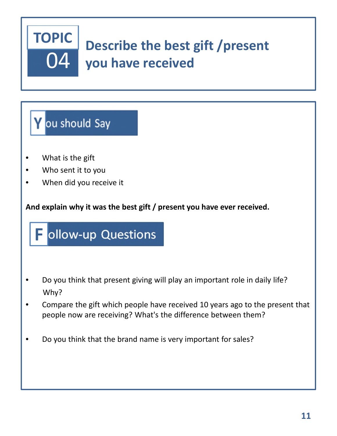

### **Y** ou should Say

- What is the gift
- Who sent it to you
- When did you receive it

**And explain why it was the best gift / present you have ever received.**

### Follow-up Questions

- Do you think that present giving will play an important role in daily life? Why?
- Compare the gift which people have received 10 years ago to the present that people now are receiving? What's the difference between them?
- Do you think that the brand name is very important for sales?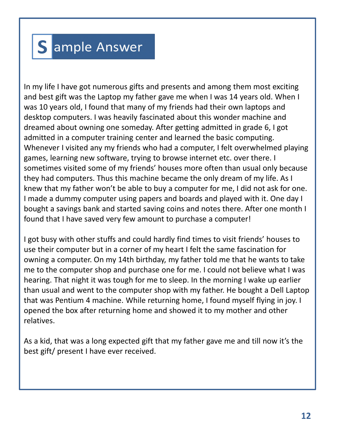### S ample Answer

In my life I have got numerous gifts and presents and among them most exciting and best gift was the Laptop my father gave me when I was 14 years old. When I was 10 years old, I found that many of my friends had their own laptops and desktop computers. I was heavily fascinated about this wonder machine and dreamed about owning one someday. After getting admitted in grade 6, I got admitted in a computer training center and learned the basic computing. Whenever I visited any my friends who had a computer, I felt overwhelmed playing games, learning new software, trying to browse internet etc. over there. I sometimes visited some of my friends' houses more often than usual only because they had computers. Thus this machine became the only dream of my life. As I knew that my father won't be able to buy a computer for me, I did not ask for one. I made a dummy computer using papers and boards and played with it. One day I bought a savings bank and started saving coins and notes there. After one month I found that I have saved very few amount to purchase a computer!

I got busy with other stuffs and could hardly find times to visit friends' houses to use their computer but in a corner of my heart I felt the same fascination for owning a computer. On my 14th birthday, my father told me that he wants to take me to the computer shop and purchase one for me. I could not believe what I was hearing. That night it was tough for me to sleep. In the morning I wake up earlier than usual and went to the computer shop with my father. He bought a Dell Laptop that was Pentium 4 machine. While returning home, I found myself flying in joy. I opened the box after returning home and showed it to my mother and other relatives.

As a kid, that was a long expected gift that my father gave me and till now it's the best gift/ present I have ever received.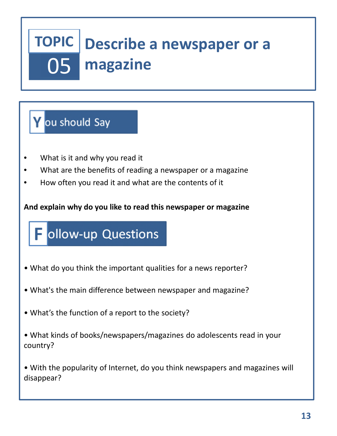### **Describe a newspaper or a magazine** 05

#### **Y** ou should Say

- What is it and why you read it
- What are the benefits of reading a newspaper or a magazine
- How often you read it and what are the contents of it

#### **And explain why do you like to read this newspaper or magazine**

### Follow-up Questions

- What do you think the important qualities for a news reporter?
- What's the main difference between newspaper and magazine?
- What's the function of a report to the society?
- What kinds of books/newspapers/magazines do adolescents read in your country?

• With the popularity of Internet, do you think newspapers and magazines will disappear?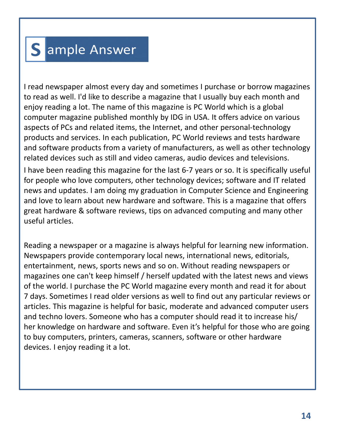### Sample Answer

I read newspaper almost every day and sometimes I purchase or borrow magazines to read as well. I'd like to describe a magazine that I usually buy each month and enjoy reading a lot. The name of this magazine is PC World which is a global computer magazine published monthly by IDG in USA. It offers advice on various aspects of PCs and related items, the Internet, and other personal-technology products and services. In each publication, PC World reviews and tests hardware and software products from a variety of manufacturers, as well as other technology related devices such as still and video cameras, audio devices and televisions.

I have been reading this magazine for the last 6-7 years or so. It is specifically useful for people who love computers, other technology devices; software and IT related news and updates. I am doing my graduation in Computer Science and Engineering and love to learn about new hardware and software. This is a magazine that offers great hardware & software reviews, tips on advanced computing and many other useful articles.

Reading a newspaper or a magazine is always helpful for learning new information. Newspapers provide contemporary local news, international news, editorials, entertainment, news, sports news and so on. Without reading newspapers or magazines one can't keep himself / herself updated with the latest news and views of the world. I purchase the PC World magazine every month and read it for about 7 days. Sometimes I read older versions as well to find out any particular reviews or articles. This magazine is helpful for basic, moderate and advanced computer users and techno lovers. Someone who has a computer should read it to increase his/ her knowledge on hardware and software. Even it's helpful for those who are going to buy computers, printers, cameras, scanners, software or other hardware devices. I enjoy reading it a lot.